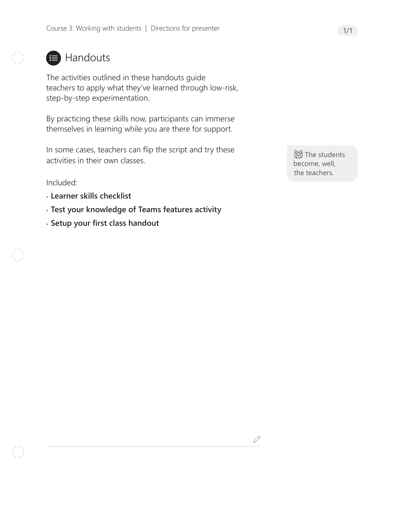### **■ Handouts**

The activities outlined in these handouts guide teachers to apply what they've learned through low-risk, step-by-step experimentation.

By practicing these skills now, participants can immerse themselves in learning while you are there for support.

In some cases, teachers can flip the script and try these activities in their own classes.

Included:

- **Learner skills checklist**
- **Test your knowledge of Teams features activity**
- **Setup your first class handout**

**创**The students become, well, the teachers.

 $\mathscr{Q}$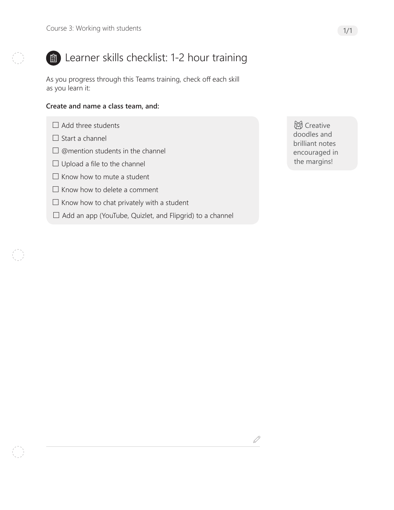

## Learner skills checklist: 1-2 hour training

As you progress through this Teams training, check off each skill as you learn it:

#### **Create and name a class team, and:**

- $\Box$  Add three students
- $\Box$  Start a channel
- $\square$  @mention students in the channel
- $\Box$  Upload a file to the channel
- $\Box$  Know how to mute a student
- $\Box$  Know how to delete a comment
- $\Box$  Know how to chat privately with a student
- $\Box$  Add an app (YouTube, Quizlet, and Flipgrid) to a channel

**总** Creative doodles and brilliant notes encouraged in the margins!

 $\mathscr{Q}$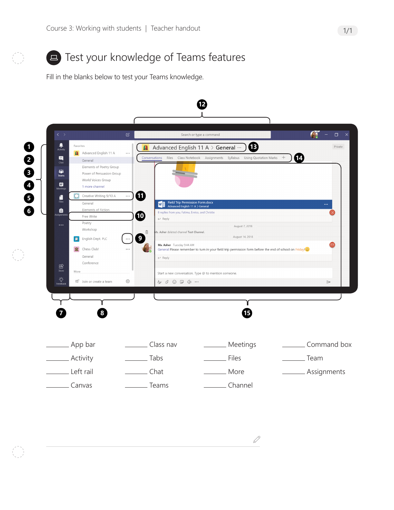

## **E** Test your knowledge of Teams features

Fill in the blanks below to test your Teams knowledge.



 $\mathcal{S}% _{M_{1},M_{2}}^{\prime}(\theta)$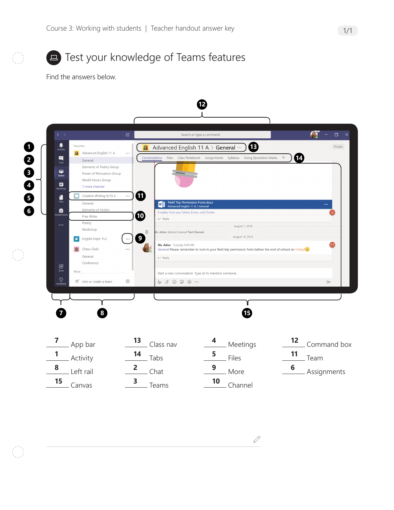

# **E** Test your knowledge of Teams features

Find the answers below.



 $\mathscr{Q}$